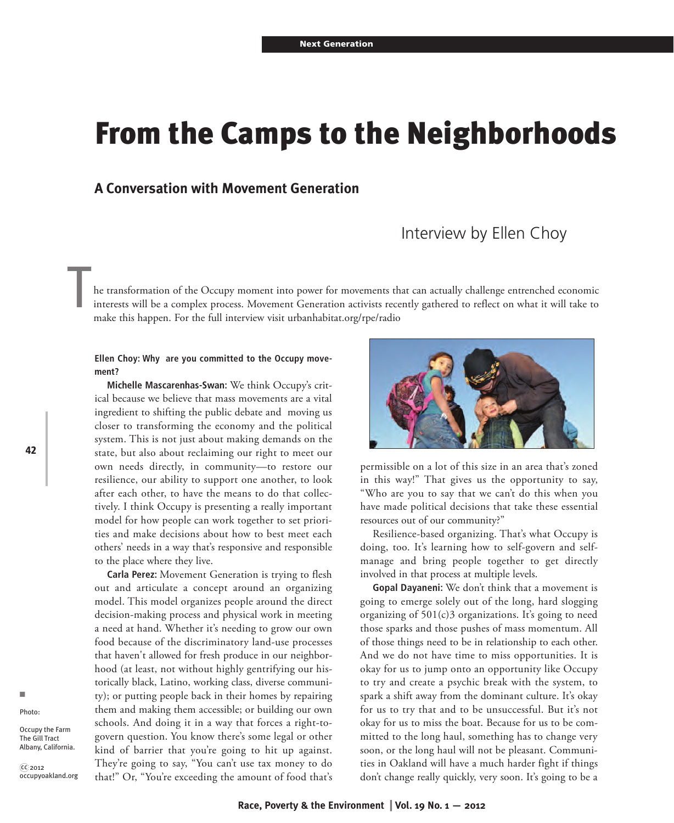# **From the Camps to the Neighborhoods**

## **A Conversation with Movement Generation**

# Interview by Ellen Choy

he transformation of the Occupy moment into power for movements that can actually challenge entrenched economic interests will be a complex process. Movement Generation activists recently gathered to reflect on what it will take to make this happen. For the full interview visit urbanhabitat.org/rpe/radio

### **Ellen Choy: Why are you committed to the Occupy movement?**

**Michelle Mascarenhas-Swan:** We think Occupy's critical because we believe that mass movements are a vital ingredient to shifting the public debate and moving us closer to transforming the economy and the political system. This is not just about making demands on the state, but also about reclaiming our right to meet our own needs directly, in community—to restore our resilience, our ability to support one another, to look after each other, to have the means to do that collectively. I think Occupy is presenting a really important model for how people can work together to set priorities and make decisions about how to best meet each others' needs in a way that's responsive and responsible to the place where they live.

**Carla Perez:** Movement Generation is trying to flesh out and articulate a concept around an organizing model. This model organizes people around the direct decision-making process and physical work in meeting a need at hand. Whether it's needing to grow our own food because of the discriminatory land-use processes that haven't allowed for fresh produce in our neighborhood (at least, not without highly gentrifying our historically black, Latino, working class, diverse community); or putting people back in their homes by repairing them and making them accessible; or building our own schools. And doing it in a way that forces a right-togovern question. You know there's some legal or other kind of barrier that you're going to hit up against. They're going to say, "You can't use tax money to do that!" Or, "You're exceeding the amount of food that's



permissible on a lot of this size in an area that's zoned in this way!" That gives us the opportunity to say, "Who are you to say that we can't do this when you have made political decisions that take these essential resources out of our community?"

Resilience-based organizing. That's what Occupy is doing, too. It's learning how to self-govern and selfmanage and bring people together to get directly involved in that process at multiple levels.

**Gopal Dayaneni:** We don't think that a movement is going to emerge solely out of the long, hard slogging organizing of  $501(c)3$  organizations. It's going to need those sparks and those pushes of mass momentum. All of those things need to be in relationship to each other. And we do not have time to miss opportunities. It is okay for us to jump onto an opportunity like Occupy to try and create a psychic break with the system, to spark a shift away from the dominant culture. It's okay for us to try that and to be unsuccessful. But it's not okay for us to miss the boat. Because for us to be committed to the long haul, something has to change very soon, or the long haul will not be pleasant. Communities in Oakland will have a much harder fight if things don't change really quickly, very soon. It's going to be a

**42**

Occupy the Farm The Gill Tract Albany, California.

 $\widehat{{\rm cc}}$  2012 occupyoakland.org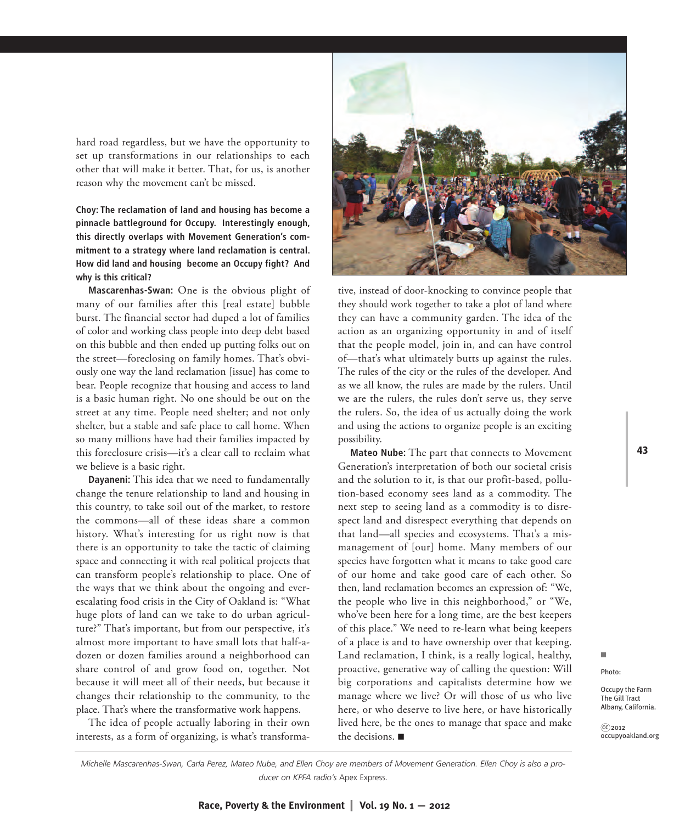hard road regardless, but we have the opportunity to set up transformations in our relationships to each other that will make it better. That, for us, is another reason why the movement can't be missed.

**Choy: The reclamation of land and housing has become a pinnacle battleground for Occupy. Interestingly enough, this directly overlaps with Movement Generation's commitment to a strategy where land reclamation is central. How did land and housing become an Occupy fight? And why is this critical?**

**Mascarenhas-Swan:** One is the obvious plight of many of our families after this [real estate] bubble burst. The financial sector had duped a lot of families of color and working class people into deep debt based on this bubble and then ended up putting folks out on the street—foreclosing on family homes. That's obviously one way the land reclamation [issue] has come to bear. People recognize that housing and access to land is a basic human right. No one should be out on the street at any time. People need shelter; and not only shelter, but a stable and safe place to call home. When so many millions have had their families impacted by this foreclosure crisis—it's a clear call to reclaim what we believe is a basic right.

**Dayaneni:** This idea that we need to fundamentally change the tenure relationship to land and housing in this country, to take soil out of the market, to restore the commons—all of these ideas share a common history. What's interesting for us right now is that there is an opportunity to take the tactic of claiming space and connecting it with real political projects that can transform people's relationship to place. One of the ways that we think about the ongoing and everescalating food crisis in the City of Oakland is: "What huge plots of land can we take to do urban agriculture?" That's important, but from our perspective, it's almost more important to have small lots that half-adozen or dozen families around a neighborhood can share control of and grow food on, together. Not because it will meet all of their needs, but because it changes their relationship to the community, to the place. That's where the transformative work happens.

The idea of people actually laboring in their own interests, as a form of organizing, is what's transforma-



tive, instead of door-knocking to convince people that they should work together to take a plot of land where they can have a community garden. The idea of the action as an organizing opportunity in and of itself that the people model, join in, and can have control of—that's what ultimately butts up against the rules. The rules of the city or the rules of the developer. And as we all know, the rules are made by the rulers. Until we are the rulers, the rules don't serve us, they serve the rulers. So, the idea of us actually doing the work and using the actions to organize people is an exciting possibility.

**Mateo Nube:** The part that connects to Movement Generation's interpretation of both our societal crisis and the solution to it, is that our profit-based, pollution-based economy sees land as a commodity. The next step to seeing land as a commodity is to disrespect land and disrespect everything that depends on that land—all species and ecosystems. That's a mismanagement of [our] home. Many members of our species have forgotten what it means to take good care of our home and take good care of each other. So then, land reclamation becomes an expression of: "We, the people who live in this neighborhood," or "We, who've been here for a long time, are the best keepers of this place." We need to re-learn what being keepers of a place is and to have ownership over that keeping. Land reclamation, I think, is a really logical, healthy, proactive, generative way of calling the question: Will big corporations and capitalists determine how we manage where we live? Or will those of us who live here, or who deserve to live here, or have historically lived here, be the ones to manage that space and make the decisions.  $\blacksquare$ 

n

Photo:

Occupy the Farm The Gill Tract Albany, California.

 $C<sub>2012</sub>$ occupyoakland.org

*Michelle Mascarenhas-Swan, Carla Perez, Mateo Nube, and Ellen Choy are members of Movement Generation. Ellen Choy is also a producer on KPFA radio's* Apex Express.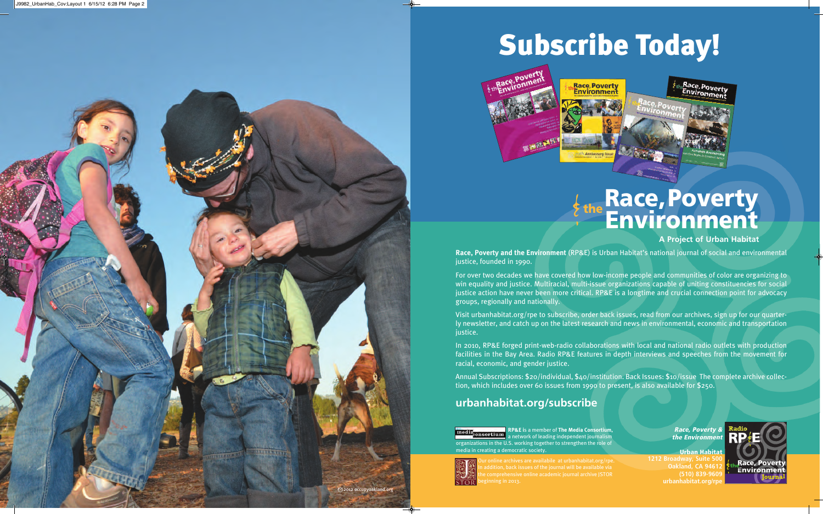# **Subscribe Today!**



# **Race,Poverty Environment**

# **A Project of Urban Habitat**

**Race, Poverty and the Environment** (RP&E) is Urban Habitat's national journal of social and environmental justice, founded in 1990.

For over two decades we have covered how low-income people and communities of color are organizing to win equality and justice. Multiracial, multi-issue organizations capable of uniting constituencies for social justice action have never been more critical. RP&E is a longtime and crucial connection point for advocacy groups, regionally and nationally.

Visit urbanhabitat.org/rpe to subscribe, order back issues, read from our archives, sign up for our quarterly newsletter, and catch up on the latest research and news in environmental, economic and transportation justice.

In 2010, RP&E forged print-web-radio collaborations with local and national radio outlets with production facilities in the Bay Area. Radio RP&E features in depth interviews and speeches from the movement for racial, economic, and gender justice.

Annual Subscriptions: \$20/individual, \$40/institution. Back Issues: \$10/issue The complete archive collection, which includes over 60 issues from 1990 to present, is also available for \$250.

# **urbanhabitat.org/subscribe**

**RP&E i**s a member of **The Media Consortium,** media<sub>consortium</sub><br>a network of leading independent journalism organizations in the U.S. working together to strengthen the role of media in creating a democratic society.

**Race, Poverty & the Environment**

**Urban Habitat 1212 Broadway, Suite 500 Oakland, CA 94612 (510) 839-9609 urbanhabitat.org/rpe**